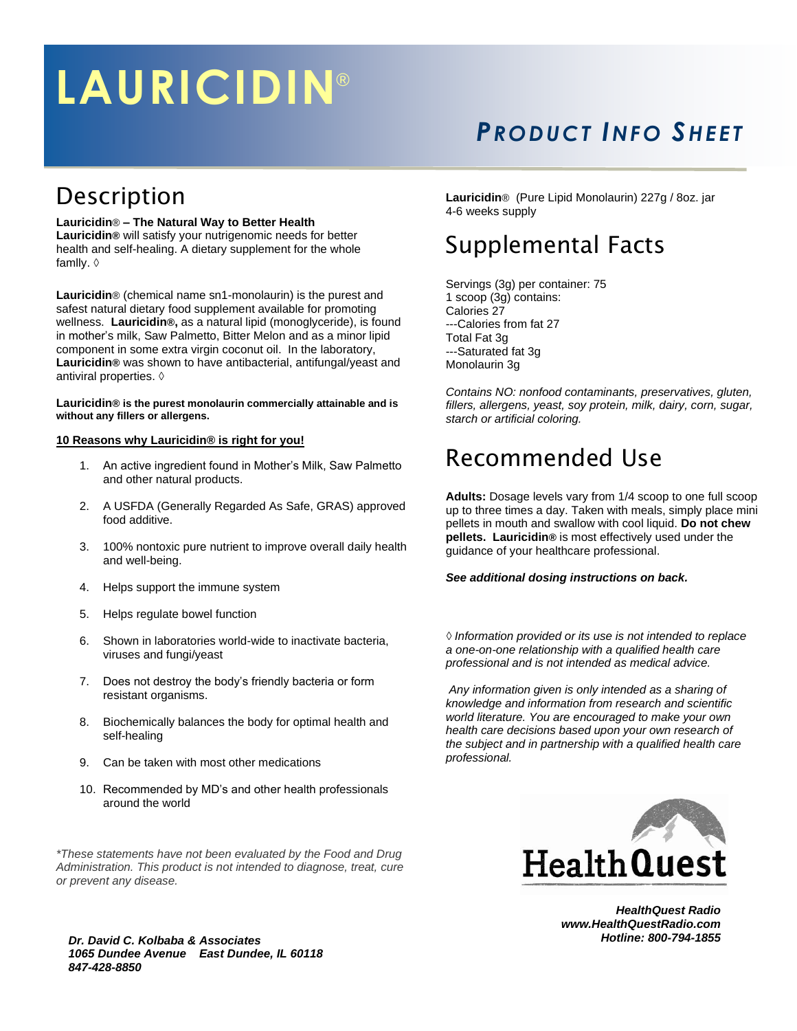# **LAURICIDIN** ®

## *PRO DU CT INFO SHEE T*

### Description

### **Lauricidin**® **– The Natural Way to Better Health**

**Lauricidin®** will satisfy your nutrigenomic needs for better health and self-healing. A dietary supplement for the whole famlly. ◊

**Lauricidin**® (chemical name sn1-monolaurin) is the purest and safest natural dietary food supplement available for promoting wellness. **Lauricidin®,** as a natural lipid (monoglyceride), is found in mother's milk, Saw Palmetto, Bitter Melon and as a minor lipid component in some extra virgin coconut oil. In the laboratory, **Lauricidin®** was shown to have antibacterial, antifungal/yeast and antiviral properties. ◊

#### **Lauricidin® is the purest monolaurin commercially attainable and is without any fillers or allergens.**

#### **10 Reasons why Lauricidin® is right for you!**

- 1. An active ingredient found in Mother's Milk, Saw Palmetto and other natural products.
- 2. A USFDA (Generally Regarded As Safe, GRAS) approved food additive.
- 3. 100% nontoxic pure nutrient to improve overall daily health and well-being.
- 4. Helps support the immune system
- 5. Helps regulate bowel function
- 6. Shown in laboratories world-wide to inactivate bacteria, viruses and fungi/yeast
- 7. Does not destroy the body's friendly bacteria or form resistant organisms.
- 8. Biochemically balances the body for optimal health and self-healing
- 9. Can be taken with most other medications
- 10. Recommended by MD's and other health professionals around the world

*\*These statements have not been evaluated by the Food and Drug Administration. This product is not intended to diagnose, treat, cure or prevent any disease.*

*Dr. David C. Kolbaba & Associates 1065 Dundee Avenue East Dundee, IL 60118 847-428-8850*

**Lauricidin**® (Pure Lipid Monolaurin) 227g / 8oz. jar 4-6 weeks supply

### Supplemental Facts

Servings (3g) per container: 75 1 scoop (3g) contains: Calories 27 ---Calories from fat 27 Total Fat 3g ---Saturated fat 3g Monolaurin 3g

*Contains NO: nonfood contaminants, preservatives, gluten, fillers, allergens, yeast, soy protein, milk, dairy, corn, sugar, starch or artificial coloring.*

### Recommended Use

**Adults:** Dosage levels vary from 1/4 scoop to one full scoop up to three times a day. Taken with meals, simply place mini pellets in mouth and swallow with cool liquid. **Do not chew pellets. Lauricidin®** is most effectively used under the guidance of your healthcare professional.

### *See additional dosing instructions on back.*

*◊ Information provided or its use is not intended to replace a one-on-one relationship with a qualified health care professional and is not intended as medical advice.* 

*Any information given is only intended as a sharing of knowledge and information from research and scientific world literature. You are encouraged to make your own health care decisions based upon your own research of the subject and in partnership with a qualified health care professional.*



*HealthQuest Radio www.HealthQuestRadio.com Hotline: 800-794-1855*